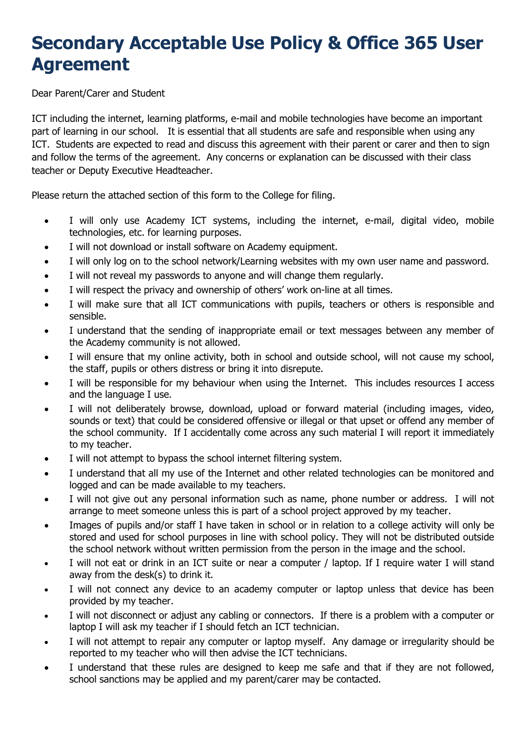# **Secondary Acceptable Use Policy & Office 365 User Agreement**

Dear Parent/Carer and Student

ICT including the internet, learning platforms, e-mail and mobile technologies have become an important part of learning in our school. It is essential that all students are safe and responsible when using any ICT. Students are expected to read and discuss this agreement with their parent or carer and then to sign and follow the terms of the agreement. Any concerns or explanation can be discussed with their class teacher or Deputy Executive Headteacher.

Please return the attached section of this form to the College for filing.

- I will only use Academy ICT systems, including the internet, e-mail, digital video, mobile technologies, etc. for learning purposes.
- I will not download or install software on Academy equipment.
- I will only log on to the school network/Learning websites with my own user name and password.
- I will not reveal my passwords to anyone and will change them regularly.
- I will respect the privacy and ownership of others' work on-line at all times.
- I will make sure that all ICT communications with pupils, teachers or others is responsible and sensible.
- I understand that the sending of inappropriate email or text messages between any member of the Academy community is not allowed.
- I will ensure that my online activity, both in school and outside school, will not cause my school, the staff, pupils or others distress or bring it into disrepute.
- I will be responsible for my behaviour when using the Internet. This includes resources I access and the language I use.
- I will not deliberately browse, download, upload or forward material (including images, video, sounds or text) that could be considered offensive or illegal or that upset or offend any member of the school community. If I accidentally come across any such material I will report it immediately to my teacher.
- I will not attempt to bypass the school internet filtering system.
- I understand that all my use of the Internet and other related technologies can be monitored and logged and can be made available to my teachers.
- I will not give out any personal information such as name, phone number or address. I will not arrange to meet someone unless this is part of a school project approved by my teacher.
- Images of pupils and/or staff I have taken in school or in relation to a college activity will only be stored and used for school purposes in line with school policy. They will not be distributed outside the school network without written permission from the person in the image and the school.
- I will not eat or drink in an ICT suite or near a computer / laptop. If I require water I will stand away from the desk(s) to drink it.
- I will not connect any device to an academy computer or laptop unless that device has been provided by my teacher.
- I will not disconnect or adjust any cabling or connectors. If there is a problem with a computer or laptop I will ask my teacher if I should fetch an ICT technician.
- I will not attempt to repair any computer or laptop myself. Any damage or irregularity should be reported to my teacher who will then advise the ICT technicians.
- I understand that these rules are designed to keep me safe and that if they are not followed, school sanctions may be applied and my parent/carer may be contacted.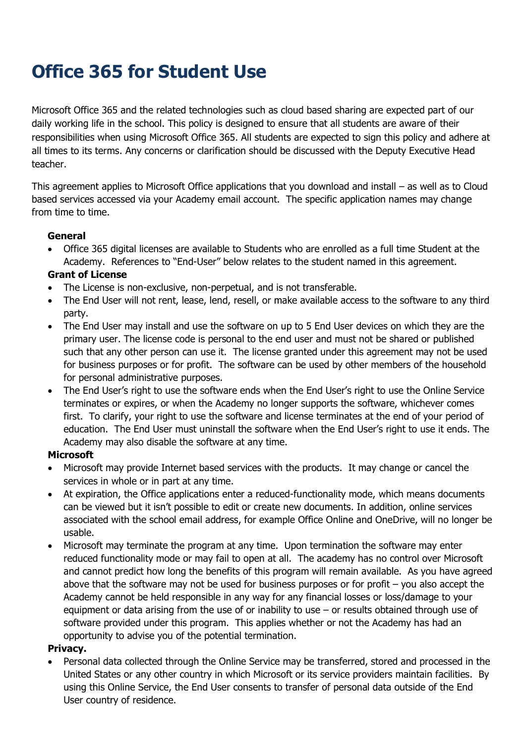# **Office 365 for Student Use**

Microsoft Office 365 and the related technologies such as cloud based sharing are expected part of our daily working life in the school. This policy is designed to ensure that all students are aware of their responsibilities when using Microsoft Office 365. All students are expected to sign this policy and adhere at all times to its terms. Any concerns or clarification should be discussed with the Deputy Executive Head teacher.

This agreement applies to Microsoft Office applications that you download and install – as well as to Cloud based services accessed via your Academy email account. The specific application names may change from time to time.

### **General**

• Office 365 digital licenses are available to Students who are enrolled as a full time Student at the Academy. References to "End-User" below relates to the student named in this agreement.

### **Grant of License**

- The License is non-exclusive, non-perpetual, and is not transferable.
- The End User will not rent, lease, lend, resell, or make available access to the software to any third party.
- The End User may install and use the software on up to 5 End User devices on which they are the primary user. The license code is personal to the end user and must not be shared or published such that any other person can use it. The license granted under this agreement may not be used for business purposes or for profit. The software can be used by other members of the household for personal administrative purposes.
- The End User's right to use the software ends when the End User's right to use the Online Service terminates or expires, or when the Academy no longer supports the software, whichever comes first. To clarify, your right to use the software and license terminates at the end of your period of education. The End User must uninstall the software when the End User's right to use it ends. The Academy may also disable the software at any time.

## **Microsoft**

- Microsoft may provide Internet based services with the products. It may change or cancel the services in whole or in part at any time.
- At expiration, the Office applications enter a reduced-functionality mode, which means documents can be viewed but it isn't possible to edit or create new documents. In addition, online services associated with the school email address, for example Office Online and OneDrive, will no longer be usable.
- Microsoft may terminate the program at any time. Upon termination the software may enter reduced functionality mode or may fail to open at all. The academy has no control over Microsoft and cannot predict how long the benefits of this program will remain available. As you have agreed above that the software may not be used for business purposes or for profit – you also accept the Academy cannot be held responsible in any way for any financial losses or loss/damage to your equipment or data arising from the use of or inability to use – or results obtained through use of software provided under this program. This applies whether or not the Academy has had an opportunity to advise you of the potential termination.

#### **Privacy.**

• Personal data collected through the Online Service may be transferred, stored and processed in the United States or any other country in which Microsoft or its service providers maintain facilities. By using this Online Service, the End User consents to transfer of personal data outside of the End User country of residence.